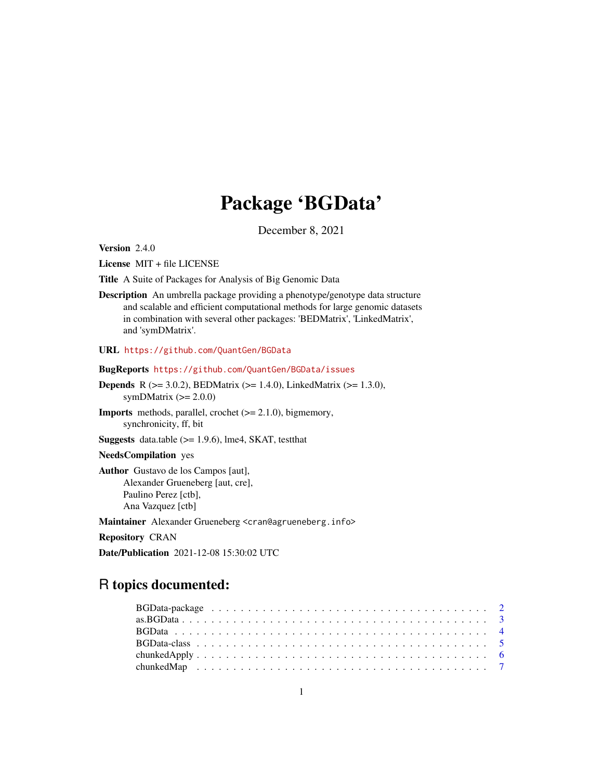# Package 'BGData'

December 8, 2021

<span id="page-0-0"></span>Version 2.4.0

License MIT + file LICENSE

Title A Suite of Packages for Analysis of Big Genomic Data

Description An umbrella package providing a phenotype/genotype data structure and scalable and efficient computational methods for large genomic datasets in combination with several other packages: 'BEDMatrix', 'LinkedMatrix', and 'symDMatrix'.

URL <https://github.com/QuantGen/BGData>

BugReports <https://github.com/QuantGen/BGData/issues>

- **Depends** R ( $>= 3.0.2$ ), BEDMatrix ( $>= 1.4.0$ ), LinkedMatrix ( $>= 1.3.0$ ), symDMatrix  $(>= 2.0.0)$
- Imports methods, parallel, crochet (>= 2.1.0), bigmemory, synchronicity, ff, bit
- **Suggests** data.table  $(>= 1.9.6)$ , lme4, SKAT, testthat

# NeedsCompilation yes

Author Gustavo de los Campos [aut], Alexander Grueneberg [aut, cre], Paulino Perez [ctb], Ana Vazquez [ctb]

Maintainer Alexander Grueneberg <cran@agrueneberg.info>

Repository CRAN

Date/Publication 2021-12-08 15:30:02 UTC

# R topics documented: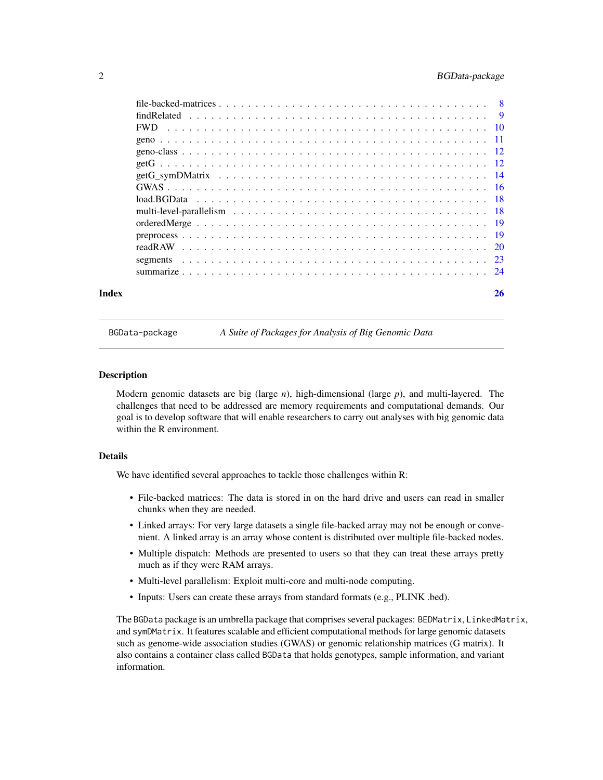# <span id="page-1-0"></span>2 BGData-package

| Index | 26 |
|-------|----|
|       |    |
|       |    |
|       |    |
|       |    |
|       |    |
|       |    |
|       |    |
|       |    |
|       |    |
|       |    |
|       |    |
|       |    |
|       |    |
|       |    |
|       |    |

BGData-package *A Suite of Packages for Analysis of Big Genomic Data*

# **Description**

Modern genomic datasets are big (large *n*), high-dimensional (large *p*), and multi-layered. The challenges that need to be addressed are memory requirements and computational demands. Our goal is to develop software that will enable researchers to carry out analyses with big genomic data within the R environment.

# Details

We have identified several approaches to tackle those challenges within R:

- File-backed matrices: The data is stored in on the hard drive and users can read in smaller chunks when they are needed.
- Linked arrays: For very large datasets a single file-backed array may not be enough or convenient. A linked array is an array whose content is distributed over multiple file-backed nodes.
- Multiple dispatch: Methods are presented to users so that they can treat these arrays pretty much as if they were RAM arrays.
- Multi-level parallelism: Exploit multi-core and multi-node computing.
- Inputs: Users can create these arrays from standard formats (e.g., PLINK .bed).

The BGData package is an umbrella package that comprises several packages: BEDMatrix, LinkedMatrix, and symDMatrix. It features scalable and efficient computational methods for large genomic datasets such as genome-wide association studies (GWAS) or genomic relationship matrices (G matrix). It also contains a container class called BGData that holds genotypes, sample information, and variant information.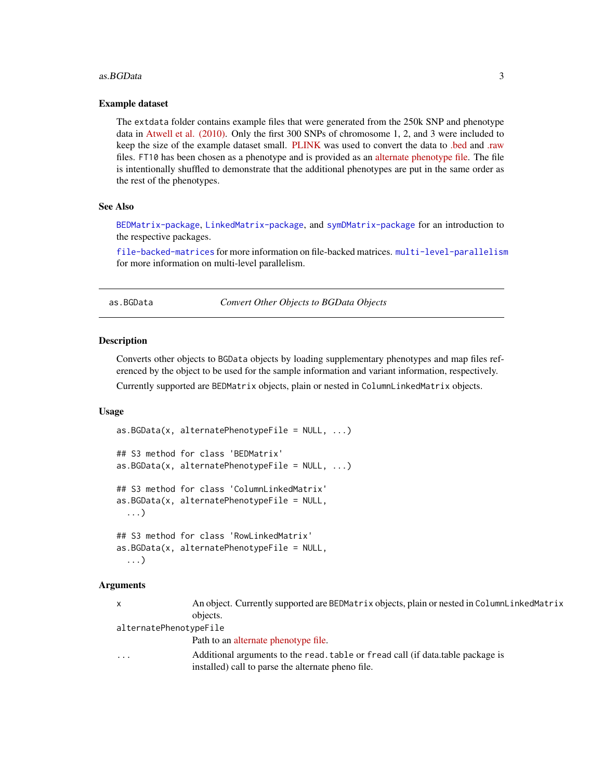#### <span id="page-2-0"></span>as. BGData 3

#### Example dataset

The extdata folder contains example files that were generated from the 250k SNP and phenotype data in [Atwell et al. \(2010\).](https://www.nature.com/articles/nature08800) Only the first 300 SNPs of chromosome 1, 2, and 3 were included to keep the size of the example dataset small. [PLINK](https://www.cog-genomics.org/plink2) was used to convert the data to [.bed](https://www.cog-genomics.org/plink2/input#bed) and [.raw](https://www.cog-genomics.org/plink2/input#raw) files. FT10 has been chosen as a phenotype and is provided as an [alternate phenotype file.](https://www.cog-genomics.org/plink2/input#pheno) The file is intentionally shuffled to demonstrate that the additional phenotypes are put in the same order as the rest of the phenotypes.

# See Also

[BEDMatrix-package](#page-0-0), [LinkedMatrix-package](#page-0-0), and [symDMatrix-package](#page-0-0) for an introduction to the respective packages.

[file-backed-matrices](#page-7-1) for more information on file-backed matrices. [multi-level-parallelism](#page-17-1) for more information on multi-level parallelism.

<span id="page-2-1"></span>as.BGData *Convert Other Objects to BGData Objects*

# Description

Converts other objects to BGData objects by loading supplementary phenotypes and map files referenced by the object to be used for the sample information and variant information, respectively.

Currently supported are BEDMatrix objects, plain or nested in ColumnLinkedMatrix objects.

#### Usage

```
as.BGData(x, alternatePhenotypeFile = NULL, ...)## S3 method for class 'BEDMatrix'
as.BGData(x, alternatePhenotypeFile = NULL, ...)## S3 method for class 'ColumnLinkedMatrix'
as.BGData(x, alternatePhenotypeFile = NULL,
  ...)
## S3 method for class 'RowLinkedMatrix'
as.BGData(x, alternatePhenotypeFile = NULL,
  ...)
```
# Arguments

x An object. Currently supported are BEDMatrix objects, plain or nested in ColumnLinkedMatrix objects.

alternatePhenotypeFile

Path to an [alternate phenotype file.](https://www.cog-genomics.org/plink2/input#pheno)

... Additional arguments to the read.table or fread call (if data.table package is installed) call to parse the alternate pheno file.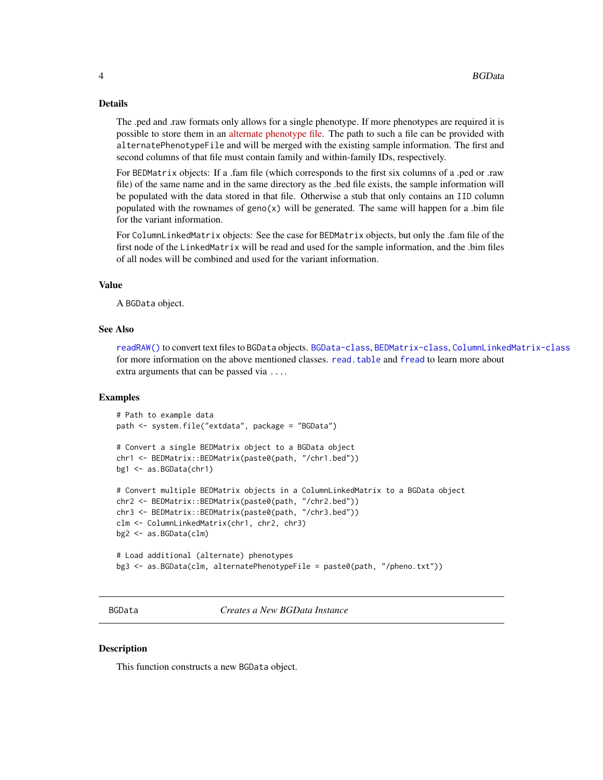#### <span id="page-3-0"></span>Details

The .ped and .raw formats only allows for a single phenotype. If more phenotypes are required it is possible to store them in an [alternate phenotype file.](https://www.cog-genomics.org/plink2/input#pheno) The path to such a file can be provided with alternatePhenotypeFile and will be merged with the existing sample information. The first and second columns of that file must contain family and within-family IDs, respectively.

For BEDMatrix objects: If a .fam file (which corresponds to the first six columns of a .ped or .raw file) of the same name and in the same directory as the .bed file exists, the sample information will be populated with the data stored in that file. Otherwise a stub that only contains an IID column populated with the rownames of geno(x) will be generated. The same will happen for a .bim file for the variant information.

For ColumnLinkedMatrix objects: See the case for BEDMatrix objects, but only the .fam file of the first node of the LinkedMatrix will be read and used for the sample information, and the .bim files of all nodes will be combined and used for the variant information.

#### Value

A BGData object.

## See Also

[readRAW\(\)](#page-19-1) to convert text files to BGData objects. [BGData-class](#page-4-1), [BEDMatrix-class](#page-0-0), [ColumnLinkedMatrix-class](#page-0-0) for more information on the above mentioned classes. [read.table](#page-0-0) and [fread](#page-0-0) to learn more about extra arguments that can be passed via ....

#### Examples

```
# Path to example data
path <- system.file("extdata", package = "BGData")
# Convert a single BEDMatrix object to a BGData object
chr1 <- BEDMatrix::BEDMatrix(paste0(path, "/chr1.bed"))
bg1 <- as.BGData(chr1)
# Convert multiple BEDMatrix objects in a ColumnLinkedMatrix to a BGData object
chr2 <- BEDMatrix::BEDMatrix(paste0(path, "/chr2.bed"))
chr3 <- BEDMatrix::BEDMatrix(paste0(path, "/chr3.bed"))
clm <- ColumnLinkedMatrix(chr1, chr2, chr3)
bg2 <- as.BGData(clm)
# Load additional (alternate) phenotypes
bg3 <- as.BGData(clm, alternatePhenotypeFile = paste0(path, "/pheno.txt"))
```
<span id="page-3-1"></span>

BGData *Creates a New BGData Instance*

#### **Description**

This function constructs a new BGData object.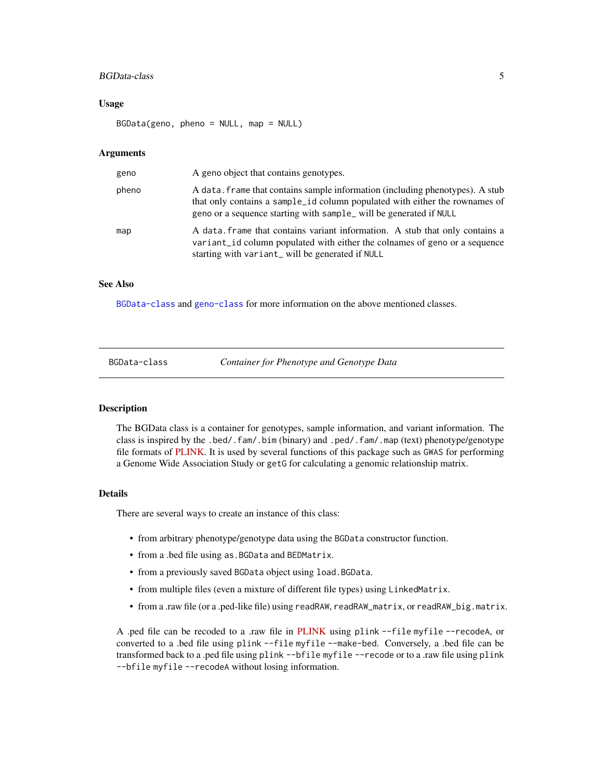# <span id="page-4-0"></span>BGData-class 5

#### Usage

BGData(geno, pheno = NULL, map = NULL)

#### Arguments

| geno  | A geno object that contains genotypes.                                                                                                                                                                                            |
|-------|-----------------------------------------------------------------------------------------------------------------------------------------------------------------------------------------------------------------------------------|
| pheno | A data, frame that contains sample information (including phenotypes). A stub<br>that only contains a sample_id column populated with either the rownames of<br>geno or a sequence starting with sample_will be generated if NULL |
| map   | A data frame that contains variant information. A stub that only contains a<br>variant_id column populated with either the colnames of geno or a sequence<br>starting with variant_will be generated if NULL                      |

## See Also

[BGData-class](#page-4-1) and [geno-class](#page-11-1) for more information on the above mentioned classes.

<span id="page-4-1"></span>BGData-class *Container for Phenotype and Genotype Data*

#### **Description**

The BGData class is a container for genotypes, sample information, and variant information. The class is inspired by the .bed/.fam/.bim (binary) and .ped/.fam/.map (text) phenotype/genotype file formats of [PLINK.](https://www.cog-genomics.org/plink2) It is used by several functions of this package such as GWAS for performing a Genome Wide Association Study or getG for calculating a genomic relationship matrix.

# Details

There are several ways to create an instance of this class:

- from arbitrary phenotype/genotype data using the BGData constructor function.
- from a .bed file using as.BGData and BEDMatrix.
- from a previously saved BGData object using load.BGData.
- from multiple files (even a mixture of different file types) using LinkedMatrix.
- from a .raw file (or a .ped-like file) using readRAW, readRAW\_matrix, or readRAW\_big.matrix.

A .ped file can be recoded to a .raw file in [PLINK](https://www.cog-genomics.org/plink2) using plink --file myfile --recodeA, or converted to a .bed file using plink --file myfile --make-bed. Conversely, a .bed file can be transformed back to a .ped file using plink --bfile myfile --recode or to a .raw file using plink --bfile myfile --recodeA without losing information.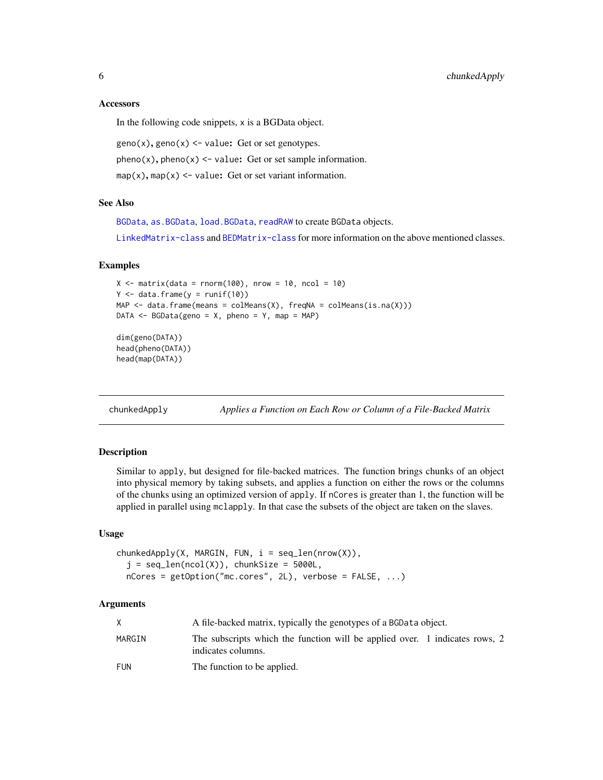#### **Accessors**

In the following code snippets, x is a BGData object.

 $geno(x), geno(x) < -value: Get or set genotypes.$  $pheno(x), pheno(x) < -value: Get or set sample information.$  $map(x)$ , map(x) <- value: Get or set variant information.

#### See Also

[BGData](#page-3-1), [as.BGData](#page-2-1), [load.BGData](#page-17-2), [readRAW](#page-19-1) to create BGData objects.

[LinkedMatrix-class](#page-0-0) and [BEDMatrix-class](#page-0-0) for more information on the above mentioned classes.

#### Examples

```
X \le matrix(data = rnorm(100), nrow = 10, ncol = 10)
Y \leftarrow data . frame(y = runif(10))MAP \leq data.frame(means = colMeans(X), freqNA = colMeans(is.na(X)))
DATA \leq BGData(geno = X, pheno = Y, map = MAP)
```

```
dim(geno(DATA))
head(pheno(DATA))
head(map(DATA))
```
chunkedApply *Applies a Function on Each Row or Column of a File-Backed Matrix*

#### Description

Similar to apply, but designed for file-backed matrices. The function brings chunks of an object into physical memory by taking subsets, and applies a function on either the rows or the columns of the chunks using an optimized version of apply. If nCores is greater than 1, the function will be applied in parallel using mclapply. In that case the subsets of the object are taken on the slaves.

## Usage

```
chunkedApply(X, MARGIN, FUN, i = seq_length(nrow(X)),j = seq\_len(ncol(X)), chunkSize = 5000L,
  nCores = getOption("mc.cores", 2L), verbose = FALSE, ...)
```
# Arguments

|        | A file-backed matrix, typically the genotypes of a BGData object.                                 |  |
|--------|---------------------------------------------------------------------------------------------------|--|
| MARGIN | The subscripts which the function will be applied over. 1 indicates rows, 2<br>indicates columns. |  |
| FUN    | The function to be applied.                                                                       |  |

<span id="page-5-0"></span>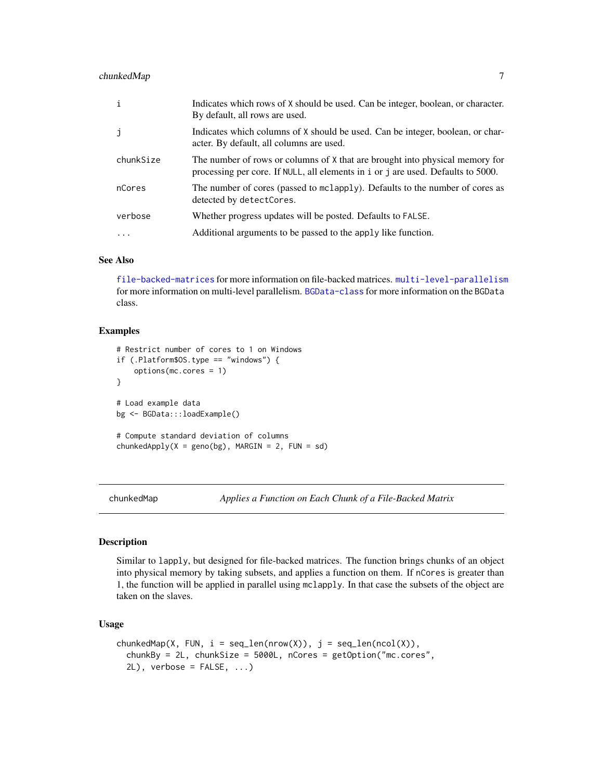# <span id="page-6-0"></span>chunkedMap 7

| i         | Indicates which rows of X should be used. Can be integer, boolean, or character.<br>By default, all rows are used.                                               |
|-----------|------------------------------------------------------------------------------------------------------------------------------------------------------------------|
| j         | Indicates which columns of X should be used. Can be integer, boolean, or char-<br>acter. By default, all columns are used.                                       |
| chunkSize | The number of rows or columns of X that are brought into physical memory for<br>processing per core. If NULL, all elements in i or j are used. Defaults to 5000. |
| nCores    | The number of cores (passed to mclapply). Defaults to the number of cores as<br>detected by detectCores.                                                         |
| verbose   | Whether progress updates will be posted. Defaults to FALSE.                                                                                                      |
| .         | Additional arguments to be passed to the apply like function.                                                                                                    |

# See Also

[file-backed-matrices](#page-7-1) for more information on file-backed matrices. [multi-level-parallelism](#page-17-1) for more information on multi-level parallelism. [BGData-class](#page-4-1) for more information on the BGData class.

# Examples

```
# Restrict number of cores to 1 on Windows
if (.Platform$OS.type == "windows") {
    options(mc.cores = 1)
}
# Load example data
bg <- BGData:::loadExample()
# Compute standard deviation of columns
chunkedApply(X = geno(bg), MARGIN = 2, FUN = sd)
```
chunkedMap *Applies a Function on Each Chunk of a File-Backed Matrix*

# Description

Similar to lapply, but designed for file-backed matrices. The function brings chunks of an object into physical memory by taking subsets, and applies a function on them. If nCores is greater than 1, the function will be applied in parallel using mclapply. In that case the subsets of the object are taken on the slaves.

# Usage

```
chunkedMap(X, FUN, i = seq_length(nrow(X)), j = seq_length(ncol(X)),chunkBy = 2L, chunkSize = 5000L, nCores = getOption("mc.cores",
  2L), verbose = FALSE, ...)
```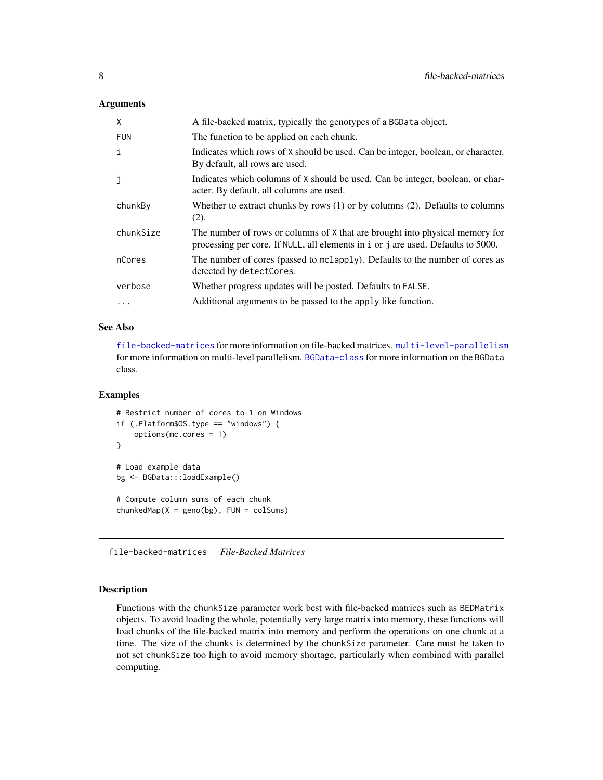## <span id="page-7-0"></span>**Arguments**

| X          | A file-backed matrix, typically the genotypes of a BGData object.                                                                                                |
|------------|------------------------------------------------------------------------------------------------------------------------------------------------------------------|
| <b>FUN</b> | The function to be applied on each chunk.                                                                                                                        |
| i          | Indicates which rows of X should be used. Can be integer, boolean, or character.<br>By default, all rows are used.                                               |
| j          | Indicates which columns of X should be used. Can be integer, boolean, or char-<br>acter. By default, all columns are used.                                       |
| chunkBy    | Whether to extract chunks by rows $(1)$ or by columns $(2)$ . Defaults to columns<br>(2).                                                                        |
| chunkSize  | The number of rows or columns of X that are brought into physical memory for<br>processing per core. If NULL, all elements in i or j are used. Defaults to 5000. |
| nCores     | The number of cores (passed to mclapply). Defaults to the number of cores as<br>detected by detectCores.                                                         |
| verbose    | Whether progress updates will be posted. Defaults to FALSE.                                                                                                      |
| $\ddotsc$  | Additional arguments to be passed to the apply like function.                                                                                                    |

#### See Also

[file-backed-matrices](#page-7-1) for more information on file-backed matrices. [multi-level-parallelism](#page-17-1) for more information on multi-level parallelism. [BGData-class](#page-4-1) for more information on the BGData class.

# Examples

```
# Restrict number of cores to 1 on Windows
if (.Platform$OS.type == "windows") {
    options(mc.cores = 1)
}
# Load example data
bg <- BGData:::loadExample()
# Compute column sums of each chunk
chunkedMap(X = geno(bg), FUN = colSums)
```
<span id="page-7-1"></span>file-backed-matrices *File-Backed Matrices*

#### Description

Functions with the chunkSize parameter work best with file-backed matrices such as BEDMatrix objects. To avoid loading the whole, potentially very large matrix into memory, these functions will load chunks of the file-backed matrix into memory and perform the operations on one chunk at a time. The size of the chunks is determined by the chunkSize parameter. Care must be taken to not set chunkSize too high to avoid memory shortage, particularly when combined with parallel computing.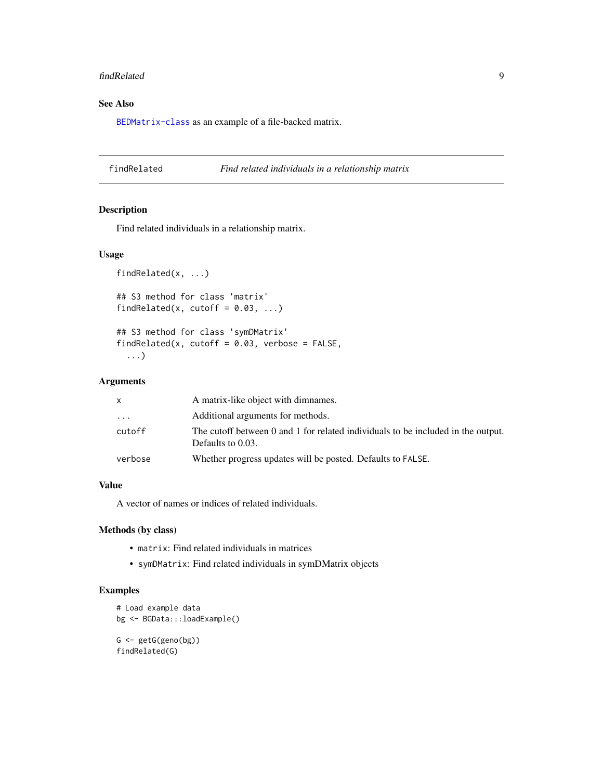#### <span id="page-8-0"></span>findRelated 99

# See Also

[BEDMatrix-class](#page-0-0) as an example of a file-backed matrix.

findRelated *Find related individuals in a relationship matrix*

# Description

Find related individuals in a relationship matrix.

# Usage

```
findRelated(x, ...)
## S3 method for class 'matrix'
findRelated(x, cutoff = 0.03, ...)
```

```
## S3 method for class 'symDMatrix'
findRelated(x, cutoff = 0.03, verbose = FALSE,
  ...)
```
# Arguments

| X.                      | A matrix-like object with dimnames.                                                                   |
|-------------------------|-------------------------------------------------------------------------------------------------------|
| $\cdot$ $\cdot$ $\cdot$ | Additional arguments for methods.                                                                     |
| cutoff                  | The cutoff between 0 and 1 for related individuals to be included in the output.<br>Defaults to 0.03. |
| verbose                 | Whether progress updates will be posted. Defaults to FALSE.                                           |

# Value

A vector of names or indices of related individuals.

# Methods (by class)

- matrix: Find related individuals in matrices
- symDMatrix: Find related individuals in symDMatrix objects

# Examples

```
# Load example data
bg <- BGData:::loadExample()
G <- getG(geno(bg))
findRelated(G)
```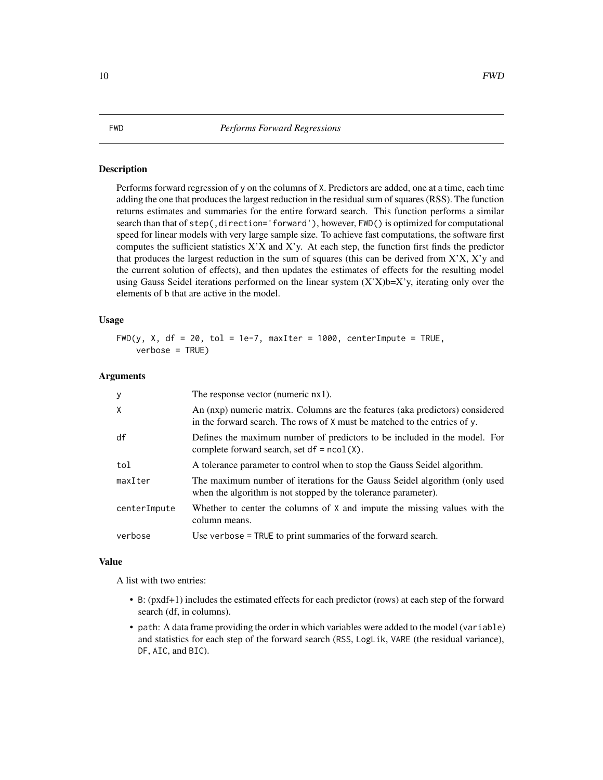<span id="page-9-0"></span>Performs forward regression of y on the columns of X. Predictors are added, one at a time, each time adding the one that produces the largest reduction in the residual sum of squares (RSS). The function returns estimates and summaries for the entire forward search. This function performs a similar search than that of step(,direction='forward'), however, FWD() is optimized for computational speed for linear models with very large sample size. To achieve fast computations, the software first computes the sufficient statistics  $X'X$  and  $X'y$ . At each step, the function first finds the predictor that produces the largest reduction in the sum of squares (this can be derived from X'X, X'y and the current solution of effects), and then updates the estimates of effects for the resulting model using Gauss Seidel iterations performed on the linear system  $(X'X)b=X'$ y, iterating only over the elements of b that are active in the model.

#### Usage

FWD(y, X, df = 20, tol = 1e-7, maxIter = 1000, centerImpute = TRUE, verbose = TRUE)

#### Arguments

| y            | The response vector (numeric $nx1$ ).                                                                                                                      |
|--------------|------------------------------------------------------------------------------------------------------------------------------------------------------------|
| X            | An (nxp) numeric matrix. Columns are the features (aka predictors) considered<br>in the forward search. The rows of X must be matched to the entries of y. |
| df           | Defines the maximum number of predictors to be included in the model. For<br>complete forward search, set $df = \text{ncol}(X)$ .                          |
| tol          | A tolerance parameter to control when to stop the Gauss Seidel algorithm.                                                                                  |
| maxIter      | The maximum number of iterations for the Gauss Seidel algorithm (only used<br>when the algorithm is not stopped by the tolerance parameter).               |
| centerImpute | Whether to center the columns of X and impute the missing values with the<br>column means.                                                                 |
| verbose      | Use verbose = TRUE to print summaries of the forward search.                                                                                               |

#### Value

A list with two entries:

- B: (pxdf+1) includes the estimated effects for each predictor (rows) at each step of the forward search (df, in columns).
- path: A data frame providing the order in which variables were added to the model (variable) and statistics for each step of the forward search (RSS, LogLik, VARE (the residual variance), DF, AIC, and BIC).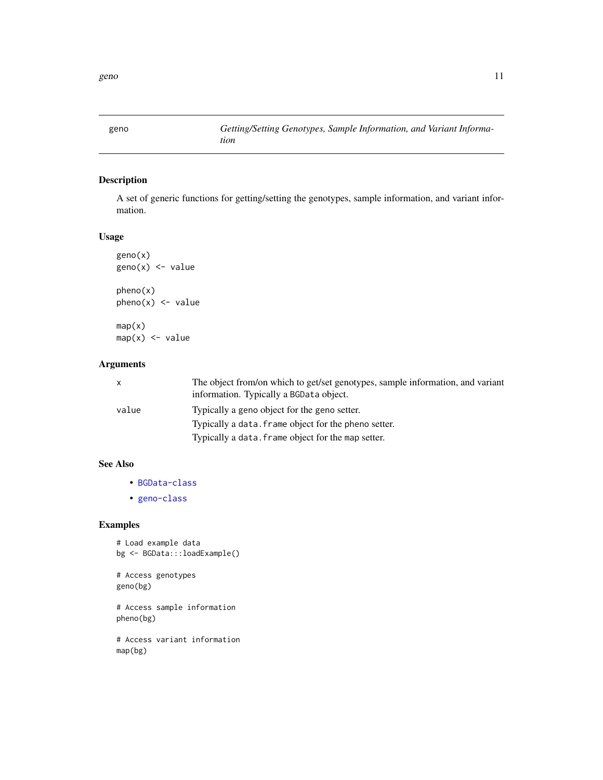<span id="page-10-0"></span>

A set of generic functions for getting/setting the genotypes, sample information, and variant information.

# Usage

geno(x)  $geno(x) < -$  value

pheno(x)  $pheno(x)$  <- value

 $map(x)$  $map(x)$  <- value

# Arguments

| X     | The object from/on which to get/set genotypes, sample information, and variant<br>information. Typically a BGData object. |
|-------|---------------------------------------------------------------------------------------------------------------------------|
| value | Typically a geno object for the geno setter.                                                                              |
|       | Typically a data. frame object for the pheno setter.                                                                      |
|       | Typically a data. frame object for the map setter.                                                                        |

# See Also

- [BGData-class](#page-4-1)
- [geno-class](#page-11-1)

# Examples

```
# Load example data
bg <- BGData:::loadExample()
```
# Access genotypes geno(bg)

# Access sample information pheno(bg)

# Access variant information map(bg)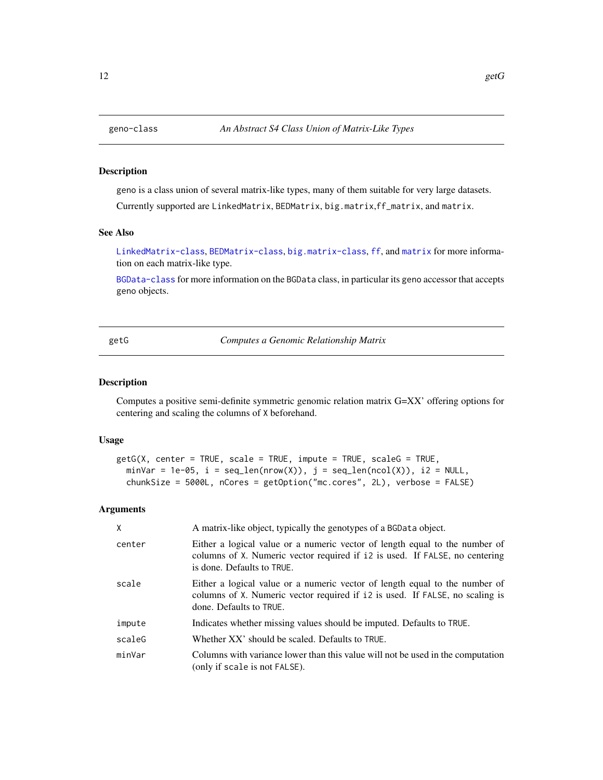<span id="page-11-1"></span><span id="page-11-0"></span>

geno is a class union of several matrix-like types, many of them suitable for very large datasets. Currently supported are LinkedMatrix, BEDMatrix, big.matrix,ff\_matrix, and matrix.

# See Also

[LinkedMatrix-class](#page-0-0), [BEDMatrix-class](#page-0-0), [big.matrix-class](#page-0-0), [ff](#page-0-0), and [matrix](#page-0-0) for more information on each matrix-like type.

[BGData-class](#page-4-1) for more information on the BGData class, in particular its geno accessor that accepts geno objects.

<span id="page-11-2"></span>getG *Computes a Genomic Relationship Matrix*

#### Description

Computes a positive semi-definite symmetric genomic relation matrix G=XX' offering options for centering and scaling the columns of X beforehand.

# Usage

```
getG(X, center = TRUE, scale = TRUE, impute = TRUE, scaleG = TRUE,
 minVar = 1e-05, i = seq\_len(nrow(X)), j = seq\_len(ncol(X)), i2 = NULL,
  chunkSize = 5000L, nCores = getOption("mc.cores", 2L), verbose = FALSE)
```
# Arguments

| X      | A matrix-like object, typically the genotypes of a BGData object.                                                                                                                        |
|--------|------------------------------------------------------------------------------------------------------------------------------------------------------------------------------------------|
| center | Either a logical value or a numeric vector of length equal to the number of<br>columns of X. Numeric vector required if 12 is used. If FALSE, no centering<br>is done. Defaults to TRUE. |
| scale  | Either a logical value or a numeric vector of length equal to the number of<br>columns of X. Numeric vector required if 12 is used. If FALSE, no scaling is<br>done. Defaults to TRUE.   |
| impute | Indicates whether missing values should be imputed. Defaults to TRUE.                                                                                                                    |
| scaleG | Whether XX' should be scaled. Defaults to TRUE.                                                                                                                                          |
| minVar | Columns with variance lower than this value will not be used in the computation<br>(only if scale is not FALSE).                                                                         |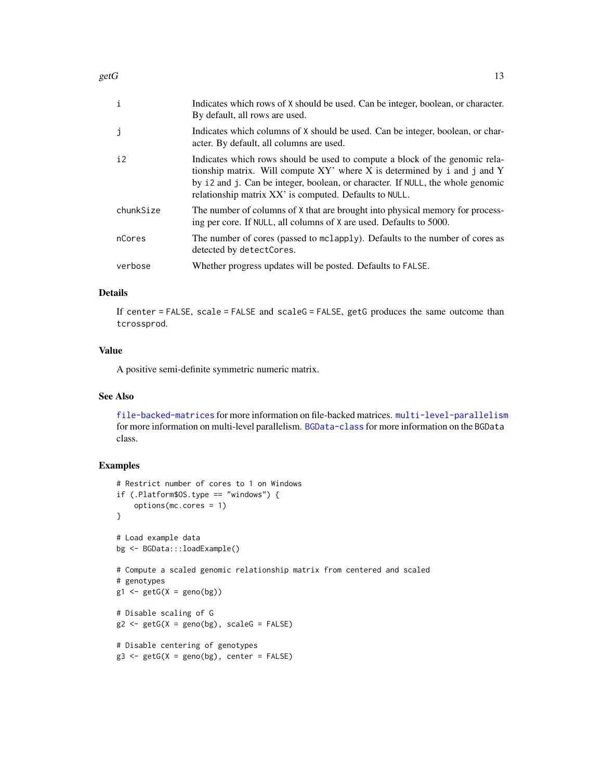| $\mathbf{i}$ | Indicates which rows of X should be used. Can be integer, boolean, or character.<br>By default, all rows are used.                                                                                                                                                                                  |
|--------------|-----------------------------------------------------------------------------------------------------------------------------------------------------------------------------------------------------------------------------------------------------------------------------------------------------|
| Ĵ            | Indicates which columns of X should be used. Can be integer, boolean, or char-<br>acter. By default, all columns are used.                                                                                                                                                                          |
| i2           | Indicates which rows should be used to compute a block of the genomic rela-<br>tionship matrix. Will compute XY' where X is determined by i and j and Y<br>by i2 and j. Can be integer, boolean, or character. If NULL, the whole genomic<br>relationship matrix XX' is computed. Defaults to NULL. |
| chunkSize    | The number of columns of X that are brought into physical memory for process-<br>ing per core. If NULL, all columns of X are used. Defaults to 5000.                                                                                                                                                |
| nCores       | The number of cores (passed to mclapply). Defaults to the number of cores as<br>detected by detectCores.                                                                                                                                                                                            |
| verbose      | Whether progress updates will be posted. Defaults to FALSE.                                                                                                                                                                                                                                         |

# Details

If center = FALSE, scale = FALSE and scaleG = FALSE, getG produces the same outcome than tcrossprod.

#### Value

A positive semi-definite symmetric numeric matrix.

# See Also

[file-backed-matrices](#page-7-1) for more information on file-backed matrices. [multi-level-parallelism](#page-17-1) for more information on multi-level parallelism. [BGData-class](#page-4-1) for more information on the BGData class.

# Examples

```
# Restrict number of cores to 1 on Windows
if (.Platform$OS.type == "windows") {
    options(mc.cores = 1)
}
# Load example data
bg <- BGData:::loadExample()
# Compute a scaled genomic relationship matrix from centered and scaled
# genotypes
g1 \leftarrow getG(X = geno(bg))# Disable scaling of G
g2 \leftarrow getG(X = geno(bg), scaleG = FALSE)# Disable centering of genotypes
g3 \leq - getG(X = geno(bg), center = FALSE)
```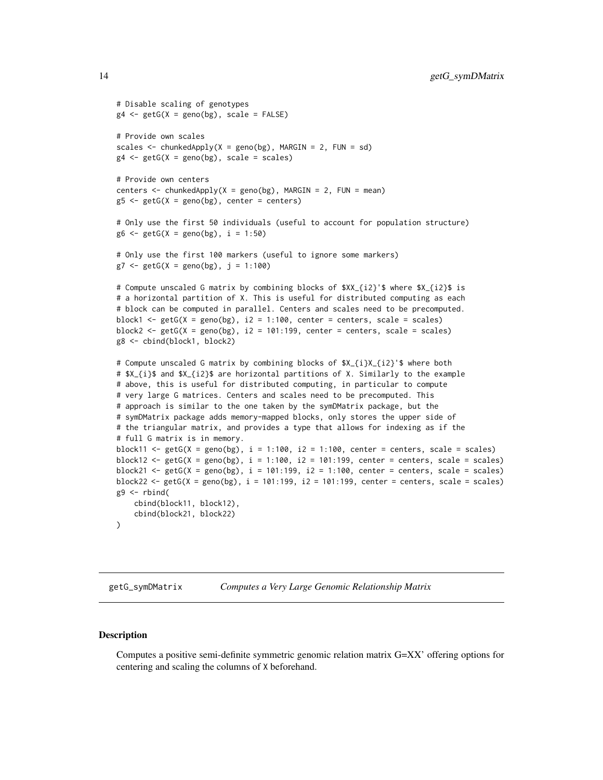```
# Disable scaling of genotypes
g4 \leftarrow getG(X = geno(bg), scale = FALSE)# Provide own scales
scales \le chunkedApply(X = geno(bg), MARGIN = 2, FUN = sd)
g4 \leq getG(X = geno(bg), scale = scales)
# Provide own centers
centers \le chunkedApply(X = geno(bg), MARGIN = 2, FUN = mean)
g5 \leq-getG(X = geno(bg), center = centers)# Only use the first 50 individuals (useful to account for population structure)
g6 \leq-getG(X = geno(bg), i = 1:50)# Only use the first 100 markers (useful to ignore some markers)
g7 \leq getG(X = geno(bg), j = 1:100)
# Compute unscaled G matrix by combining blocks of $XX_{i2}'$ where $X_{i2}$ is
# a horizontal partition of X. This is useful for distributed computing as each
# block can be computed in parallel. Centers and scales need to be precomputed.
block1 <- getG(X = \text{geno}(bg), i2 = 1:100, center = centers, scale = scales)
block2 <- getG(X = geno(bg), i2 = 101:199, center = centers, scale = scales)
g8 <- cbind(block1, block2)
# Compute unscaled G matrix by combining blocks of $X_{i}X_{i2}'$ where both
# $X_{i}$ and $X_{i2}$ are horizontal partitions of X. Similarly to the example
# above, this is useful for distributed computing, in particular to compute
# very large G matrices. Centers and scales need to be precomputed. This
# approach is similar to the one taken by the symDMatrix package, but the
# symDMatrix package adds memory-mapped blocks, only stores the upper side of
# the triangular matrix, and provides a type that allows for indexing as if the
# full G matrix is in memory.
block11 <- getG(X = geno(bg), i = 1:100, i = 1:100, center = centers, scale = scales)
block12 <- getG(X = geno(bg), i = 1:100, i = 101:199, center = centers, scale = scales)
block21 <- getG(X = geno(bg), i = 101:199, i2 = 1:100, center = centers, scale = scales)
block22 <- getG(X = geno(bg), i = 101:199, i = 101:199, center = centers, scale = scales)
g9 <- rbind(
    cbind(block11, block12),
    cbind(block21, block22)
)
```
getG\_symDMatrix *Computes a Very Large Genomic Relationship Matrix*

#### **Description**

Computes a positive semi-definite symmetric genomic relation matrix G=XX' offering options for centering and scaling the columns of X beforehand.

<span id="page-13-0"></span>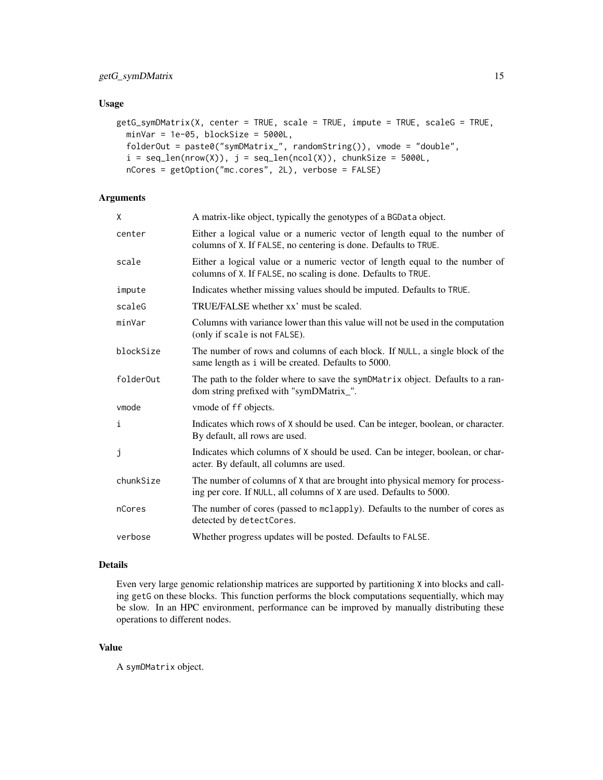# Usage

```
getG_symDMatrix(X, center = TRUE, scale = TRUE, impute = TRUE, scaleG = TRUE,
 minVar = 1e-05, blockSize = 5000L,
 folderOut = paste0("symDMatrix_", randomString()), vmode = "double",
  i = seq\_len(nrow(X)), j = seq\_len(ncol(X)), chunkSize = 5000L,nCores = getOption("mc.cores", 2L), verbose = FALSE)
```
# Arguments

| X.        | A matrix-like object, typically the genotypes of a BGData object.                                                                                    |
|-----------|------------------------------------------------------------------------------------------------------------------------------------------------------|
| center    | Either a logical value or a numeric vector of length equal to the number of<br>columns of X. If FALSE, no centering is done. Defaults to TRUE.       |
| scale     | Either a logical value or a numeric vector of length equal to the number of<br>columns of X. If FALSE, no scaling is done. Defaults to TRUE.         |
| impute    | Indicates whether missing values should be imputed. Defaults to TRUE.                                                                                |
| scaleG    | TRUE/FALSE whether xx' must be scaled.                                                                                                               |
| minVar    | Columns with variance lower than this value will not be used in the computation<br>(only if scale is not FALSE).                                     |
| blockSize | The number of rows and columns of each block. If NULL, a single block of the<br>same length as i will be created. Defaults to 5000.                  |
| folderOut | The path to the folder where to save the symDMatrix object. Defaults to a ran-<br>dom string prefixed with "symDMatrix_".                            |
| vmode     | vmode of ff objects.                                                                                                                                 |
| i         | Indicates which rows of X should be used. Can be integer, boolean, or character.<br>By default, all rows are used.                                   |
| j         | Indicates which columns of X should be used. Can be integer, boolean, or char-<br>acter. By default, all columns are used.                           |
| chunkSize | The number of columns of X that are brought into physical memory for process-<br>ing per core. If NULL, all columns of X are used. Defaults to 5000. |
| nCores    | The number of cores (passed to mclapply). Defaults to the number of cores as<br>detected by detectCores.                                             |
| verbose   | Whether progress updates will be posted. Defaults to FALSE.                                                                                          |
|           |                                                                                                                                                      |

#### Details

Even very large genomic relationship matrices are supported by partitioning X into blocks and calling getG on these blocks. This function performs the block computations sequentially, which may be slow. In an HPC environment, performance can be improved by manually distributing these operations to different nodes.

#### Value

A symDMatrix object.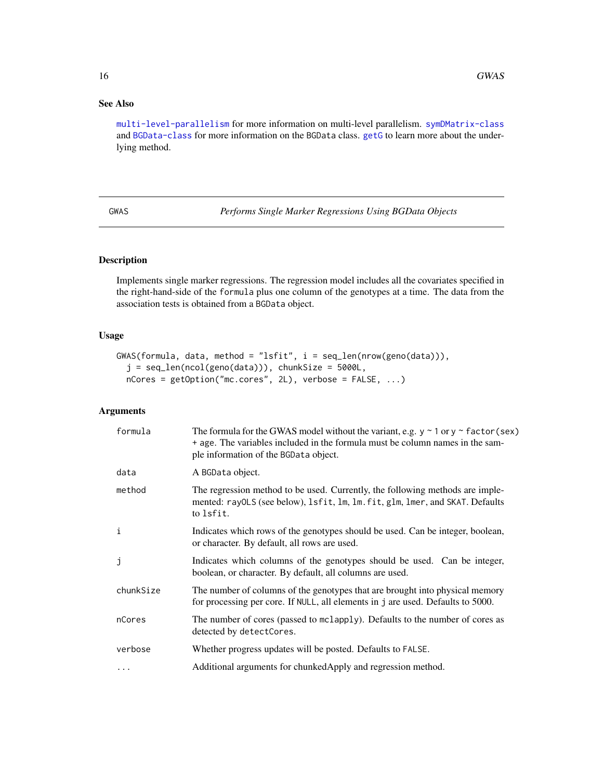# See Also

[multi-level-parallelism](#page-17-1) for more information on multi-level parallelism. [symDMatrix-class](#page-0-0) and [BGData-class](#page-4-1) for more information on the BGData class. [getG](#page-11-2) to learn more about the underlying method.

GWAS *Performs Single Marker Regressions Using BGData Objects*

# Description

Implements single marker regressions. The regression model includes all the covariates specified in the right-hand-side of the formula plus one column of the genotypes at a time. The data from the association tests is obtained from a BGData object.

# Usage

```
GWAS(formula, data, method = "lsfit", i = seq_len(nrow(geno(data))),
  j = seq\_len(ncol(geno(data))), chunkSize = 5000L,
  nCores = getOption("mc.cores", 2L), verbose = FALSE, ...)
```
# Arguments

| formula      | The formula for the GWAS model without the variant, e.g. $y \sim 1$ or $y \sim$ factor (sex)<br>+ age. The variables included in the formula must be column names in the sam-<br>ple information of the BGData object. |
|--------------|------------------------------------------------------------------------------------------------------------------------------------------------------------------------------------------------------------------------|
| data         | A BGData object.                                                                                                                                                                                                       |
| method       | The regression method to be used. Currently, the following methods are imple-<br>mented: rayOLS (see below), lsfit, lm, lm. fit, glm, lmer, and SKAT. Defaults<br>to Isfit.                                            |
| $\mathbf{i}$ | Indicates which rows of the genotypes should be used. Can be integer, boolean,<br>or character. By default, all rows are used.                                                                                         |
| j            | Indicates which columns of the genotypes should be used. Can be integer,<br>boolean, or character. By default, all columns are used.                                                                                   |
| chunkSize    | The number of columns of the genotypes that are brought into physical memory<br>for processing per core. If NULL, all elements in j are used. Defaults to 5000.                                                        |
| nCores       | The number of cores (passed to mclapply). Defaults to the number of cores as<br>detected by detectCores.                                                                                                               |
| verbose      | Whether progress updates will be posted. Defaults to FALSE.                                                                                                                                                            |
| $\cdots$     | Additional arguments for chunkedApply and regression method.                                                                                                                                                           |

<span id="page-15-0"></span>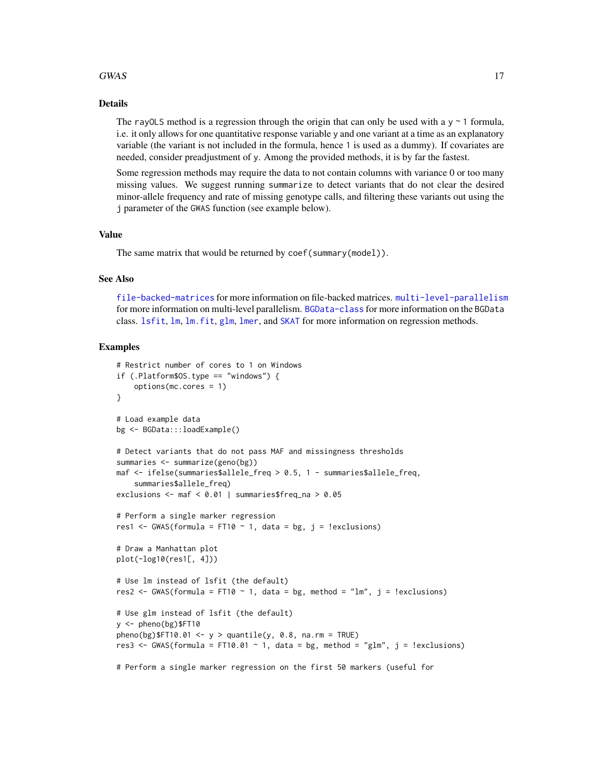#### <span id="page-16-0"></span> $GWAS$  17

#### Details

The rayOLS method is a regression through the origin that can only be used with a  $y \sim 1$  formula, i.e. it only allows for one quantitative response variable y and one variant at a time as an explanatory variable (the variant is not included in the formula, hence 1 is used as a dummy). If covariates are needed, consider preadjustment of y. Among the provided methods, it is by far the fastest.

Some regression methods may require the data to not contain columns with variance 0 or too many missing values. We suggest running summarize to detect variants that do not clear the desired minor-allele frequency and rate of missing genotype calls, and filtering these variants out using the j parameter of the GWAS function (see example below).

# Value

The same matrix that would be returned by coef(summary(model)).

#### See Also

[file-backed-matrices](#page-7-1) for more information on file-backed matrices. [multi-level-parallelism](#page-17-1) for more information on multi-level parallelism. [BGData-class](#page-4-1) for more information on the BGData class. [lsfit](#page-0-0), [lm](#page-0-0), [lm.fit](#page-0-0), [glm](#page-0-0), [lmer](#page-0-0), and [SKAT](#page-0-0) for more information on regression methods.

## Examples

```
# Restrict number of cores to 1 on Windows
if (.Platform$OS.type == "windows") {
    options(mc.cores = 1)
}
# Load example data
bg <- BGData:::loadExample()
# Detect variants that do not pass MAF and missingness thresholds
summaries <- summarize(geno(bg))
maf <- ifelse(summaries$allele_freq > 0.5, 1 - summaries$allele_freq,
    summaries$allele_freq)
exclusions <- maf < 0.01 | summaries$freq_na > 0.05
# Perform a single marker regression
res1 <- GWAS(formula = FT10 \sim 1, data = bg, j = !exclusions)
# Draw a Manhattan plot
plot(-log10(res1[, 4]))
# Use lm instead of lsfit (the default)
res2 <- GWAS(formula = FT10 \sim 1, data = bg, method = "lm", j = !exclusions)
# Use glm instead of lsfit (the default)
y <- pheno(bg)$FT10
pheno(bg)$FT10.01 <- y > quantile(y, 0.8, na.rm = TRUE)
res3 <- GWAS(formula = FT10.01 \sim 1, data = bg, method = "glm", j = !exclusions)
# Perform a single marker regression on the first 50 markers (useful for
```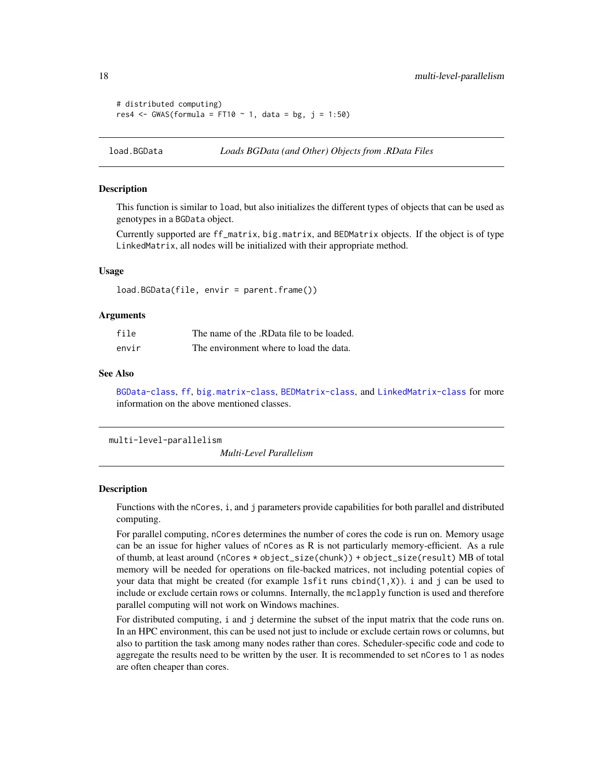```
# distributed computing)
res4 <- GWAS(formula = FT10 \sim 1, data = bg, j = 1:50)
```
<span id="page-17-2"></span>load.BGData *Loads BGData (and Other) Objects from .RData Files*

### Description

This function is similar to load, but also initializes the different types of objects that can be used as genotypes in a BGData object.

Currently supported are ff\_matrix, big.matrix, and BEDMatrix objects. If the object is of type LinkedMatrix, all nodes will be initialized with their appropriate method.

#### Usage

load.BGData(file, envir = parent.frame())

#### Arguments

| file  | The name of the .RData file to be loaded. |
|-------|-------------------------------------------|
| envir | The environment where to load the data.   |

#### See Also

[BGData-class](#page-4-1), [ff](#page-0-0), [big.matrix-class](#page-0-0), [BEDMatrix-class](#page-0-0), and [LinkedMatrix-class](#page-0-0) for more information on the above mentioned classes.

<span id="page-17-1"></span>multi-level-parallelism

*Multi-Level Parallelism*

#### **Description**

Functions with the nCores, i, and j parameters provide capabilities for both parallel and distributed computing.

For parallel computing, nCores determines the number of cores the code is run on. Memory usage can be an issue for higher values of nCores as R is not particularly memory-efficient. As a rule of thumb, at least around (nCores \* object\_size(chunk)) + object\_size(result) MB of total memory will be needed for operations on file-backed matrices, not including potential copies of your data that might be created (for example 1sfit runs cbind $(1, X)$ ). i and j can be used to include or exclude certain rows or columns. Internally, the mclapply function is used and therefore parallel computing will not work on Windows machines.

For distributed computing, i and j determine the subset of the input matrix that the code runs on. In an HPC environment, this can be used not just to include or exclude certain rows or columns, but also to partition the task among many nodes rather than cores. Scheduler-specific code and code to aggregate the results need to be written by the user. It is recommended to set nCores to 1 as nodes are often cheaper than cores.

<span id="page-17-0"></span>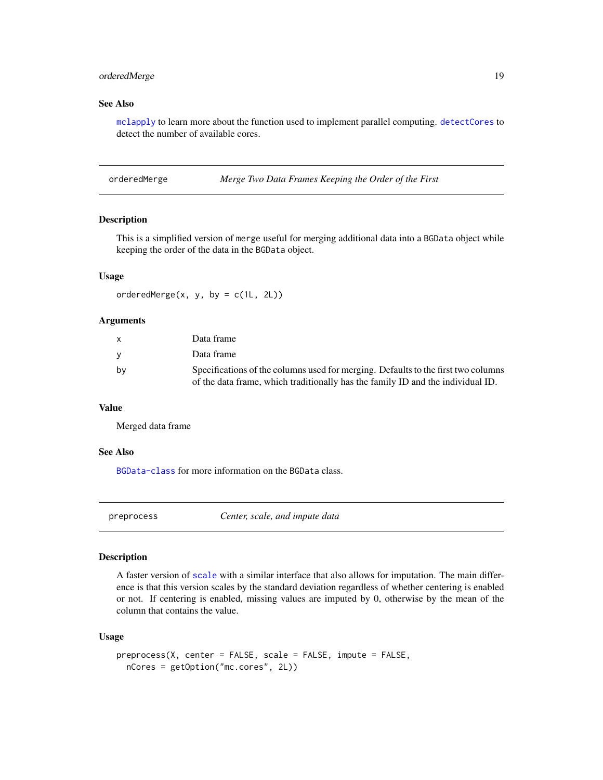# <span id="page-18-0"></span>orderedMerge 19

# See Also

[mclapply](#page-0-0) to learn more about the function used to implement parallel computing. [detectCores](#page-0-0) to detect the number of available cores.

orderedMerge *Merge Two Data Frames Keeping the Order of the First*

# Description

This is a simplified version of merge useful for merging additional data into a BGData object while keeping the order of the data in the BGData object.

# Usage

orderedMerge $(x, y, by = c(1L, 2L))$ 

# Arguments

|    | Data frame                                                                        |
|----|-----------------------------------------------------------------------------------|
| v  | Data frame                                                                        |
| bv | Specifications of the columns used for merging. Defaults to the first two columns |
|    | of the data frame, which traditionally has the family ID and the individual ID.   |

#### Value

Merged data frame

#### See Also

[BGData-class](#page-4-1) for more information on the BGData class.

preprocess *Center, scale, and impute data*

#### Description

A faster version of [scale](#page-0-0) with a similar interface that also allows for imputation. The main difference is that this version scales by the standard deviation regardless of whether centering is enabled or not. If centering is enabled, missing values are imputed by 0, otherwise by the mean of the column that contains the value.

#### Usage

```
preprocess(X, center = FALSE, scale = FALSE, impute = FALSE,
 nCores = getOption("mc.cores", 2L))
```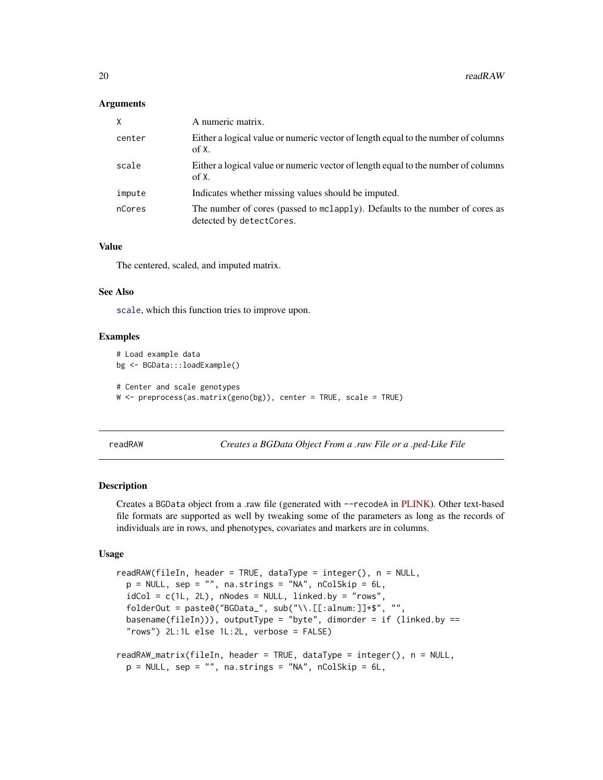### <span id="page-19-0"></span>**Arguments**

| X      | A numeric matrix.                                                                                        |
|--------|----------------------------------------------------------------------------------------------------------|
| center | Either a logical value or numeric vector of length equal to the number of columns<br>of X.               |
| scale  | Either a logical value or numeric vector of length equal to the number of columns<br>of X.               |
| impute | Indicates whether missing values should be imputed.                                                      |
| nCores | The number of cores (passed to mclapply). Defaults to the number of cores as<br>detected by detectCores. |

### Value

The centered, scaled, and imputed matrix.

## See Also

[scale](#page-0-0), which this function tries to improve upon.

# Examples

```
# Load example data
bg <- BGData:::loadExample()
# Center and scale genotypes
W \leq preprocess(as.matrix(geno(bg)), center = TRUE, scale = TRUE)
```
<span id="page-19-1"></span>readRAW *Creates a BGData Object From a .raw File or a .ped-Like File*

#### Description

Creates a BGData object from a .raw file (generated with --recodeA in [PLINK\)](https://www.cog-genomics.org/plink2). Other text-based file formats are supported as well by tweaking some of the parameters as long as the records of individuals are in rows, and phenotypes, covariates and markers are in columns.

#### Usage

```
readRAW(fileIn, header = TRUE, dataType = integer(), n = NULL,
 p = NULL, sep = "", na.strings = "NA", nColSkip = 6L,
  idCol = c(1L, 2L), nNodes = NULL, linked.by = "rows",
  folderOut = paste0("BGData_", sub("\\.[[:alnum:]]+$", "",
  basename(fileIn))), outputType = "byte", dimorder = if (linked.by ==
  "rows") 2L:1L else 1L:2L, verbose = FALSE)
readRAW_matrix(fileIn, header = TRUE, dataType = integer(), n = NULL,
 p = NULL, sep = "", na.strings = "NA", nColSkip = 6L,
```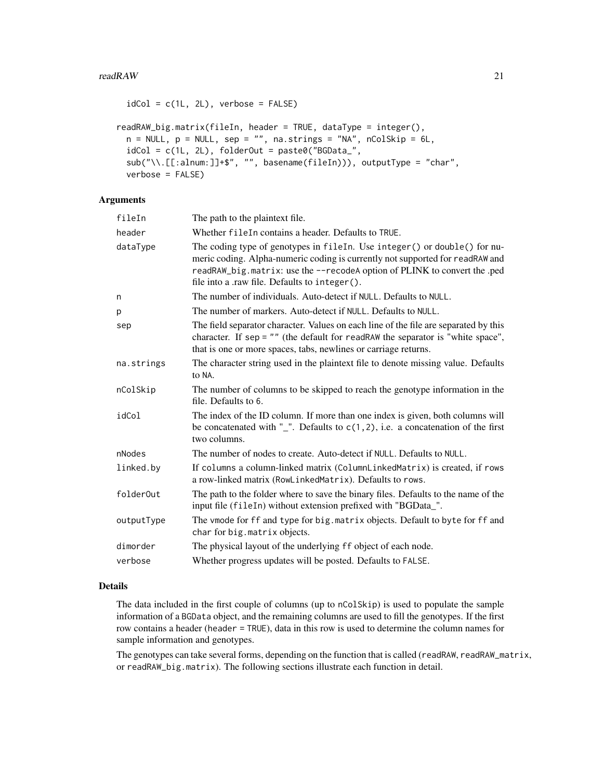```
idCol = c(1L, 2L), verbose = FALSE)
readRAW_big.matrix(fileIn, header = TRUE, dataType = integer(),
 n = NULL, p = NULL, sep = "", na.strings = "NA", nColSkip = 6L,
 idCol = c(1L, 2L), folderOut = paste0("BGData",sub("\\.[[:alnum:]]+$", "", basename(fileIn))), outputType = "char",
 verbose = FALSE)
```
#### Arguments

| fileIn     | The path to the plaintext file.                                                                                                                                                                                                                                                          |
|------------|------------------------------------------------------------------------------------------------------------------------------------------------------------------------------------------------------------------------------------------------------------------------------------------|
| header     | Whether file In contains a header. Defaults to TRUE.                                                                                                                                                                                                                                     |
| dataType   | The coding type of genotypes in fileIn. Use integer() or double() for nu-<br>meric coding. Alpha-numeric coding is currently not supported for readRAW and<br>readRAW_big.matrix: use the --recodeA option of PLINK to convert the .ped<br>file into a .raw file. Defaults to integer(). |
| n          | The number of individuals. Auto-detect if NULL. Defaults to NULL.                                                                                                                                                                                                                        |
| р          | The number of markers. Auto-detect if NULL. Defaults to NULL.                                                                                                                                                                                                                            |
| sep        | The field separator character. Values on each line of the file are separated by this<br>character. If sep = $"$ " (the default for readRAW the separator is "white space",<br>that is one or more spaces, tabs, newlines or carriage returns.                                            |
| na.strings | The character string used in the plaintext file to denote missing value. Defaults<br>to NA.                                                                                                                                                                                              |
| nColSkip   | The number of columns to be skipped to reach the genotype information in the<br>file. Defaults to 6.                                                                                                                                                                                     |
| idCol      | The index of the ID column. If more than one index is given, both columns will<br>be concatenated with "_". Defaults to $c(1,2)$ , i.e. a concatenation of the first<br>two columns.                                                                                                     |
| nNodes     | The number of nodes to create. Auto-detect if NULL. Defaults to NULL.                                                                                                                                                                                                                    |
| linked.by  | If columns a column-linked matrix (ColumnLinkedMatrix) is created, if rows<br>a row-linked matrix (RowLinkedMatrix). Defaults to rows.                                                                                                                                                   |
| folderOut  | The path to the folder where to save the binary files. Defaults to the name of the<br>input file (fileIn) without extension prefixed with "BGData_".                                                                                                                                     |
| outputType | The vmode for ff and type for big. matrix objects. Default to byte for ff and<br>char for big. matrix objects.                                                                                                                                                                           |
| dimorder   | The physical layout of the underlying ff object of each node.                                                                                                                                                                                                                            |
| verbose    | Whether progress updates will be posted. Defaults to FALSE.                                                                                                                                                                                                                              |

# Details

The data included in the first couple of columns (up to nColSkip) is used to populate the sample information of a BGData object, and the remaining columns are used to fill the genotypes. If the first row contains a header (header = TRUE), data in this row is used to determine the column names for sample information and genotypes.

The genotypes can take several forms, depending on the function that is called (readRAW, readRAW\_matrix, or readRAW\_big.matrix). The following sections illustrate each function in detail.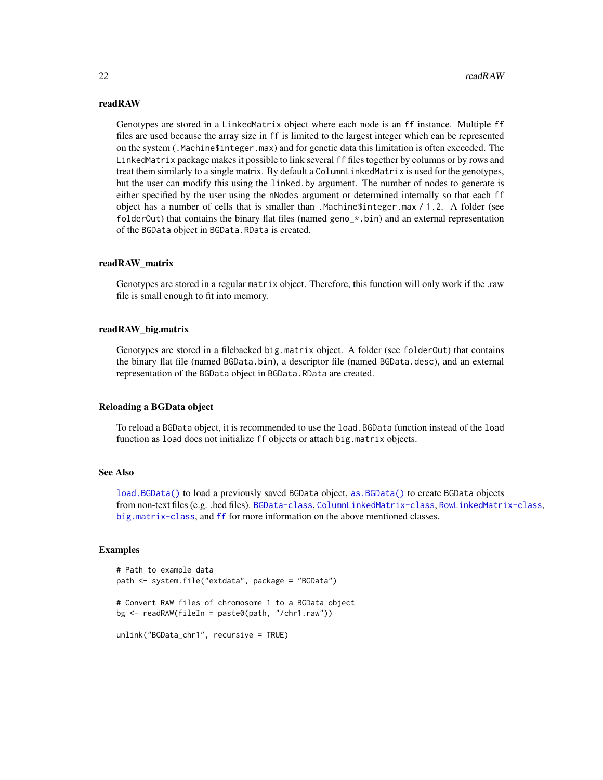#### readRAW

Genotypes are stored in a LinkedMatrix object where each node is an ff instance. Multiple ff files are used because the array size in ff is limited to the largest integer which can be represented on the system (.Machine\$integer.max) and for genetic data this limitation is often exceeded. The LinkedMatrix package makes it possible to link several ff files together by columns or by rows and treat them similarly to a single matrix. By default a ColumnLinkedMatrix is used for the genotypes, but the user can modify this using the linked.by argument. The number of nodes to generate is either specified by the user using the nNodes argument or determined internally so that each ff object has a number of cells that is smaller than .Machine\$integer.max / 1.2. A folder (see folder Out) that contains the binary flat files (named geno\_ $\star$ .bin) and an external representation of the BGData object in BGData.RData is created.

#### readRAW\_matrix

Genotypes are stored in a regular matrix object. Therefore, this function will only work if the .raw file is small enough to fit into memory.

#### readRAW\_big.matrix

Genotypes are stored in a filebacked big.matrix object. A folder (see folderOut) that contains the binary flat file (named BGData.bin), a descriptor file (named BGData.desc), and an external representation of the BGData object in BGData.RData are created.

#### Reloading a BGData object

To reload a BGData object, it is recommended to use the load.BGData function instead of the load function as load does not initialize ff objects or attach big.matrix objects.

#### See Also

[load.BGData\(\)](#page-17-2) to load a previously saved BGData object, [as.BGData\(\)](#page-2-1) to create BGData objects from non-text files (e.g. .bed files). [BGData-class](#page-4-1), [ColumnLinkedMatrix-class](#page-0-0), [RowLinkedMatrix-class](#page-0-0), [big.matrix-class](#page-0-0), and [ff](#page-0-0) for more information on the above mentioned classes.

#### Examples

```
# Path to example data
path <- system.file("extdata", package = "BGData")
# Convert RAW files of chromosome 1 to a BGData object
bg <- readRAW(fileIn = paste0(path, "/chr1.raw"))
unlink("BGData_chr1", recursive = TRUE)
```
<span id="page-21-0"></span>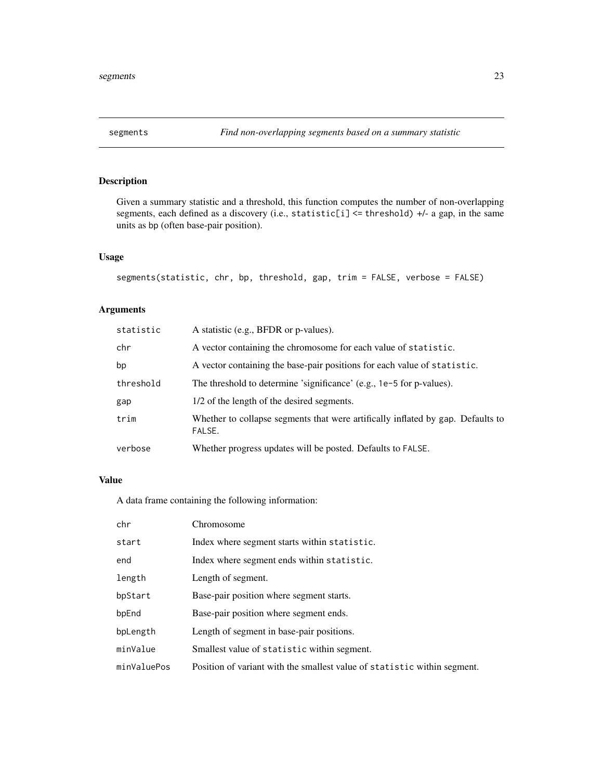<span id="page-22-0"></span>

Given a summary statistic and a threshold, this function computes the number of non-overlapping segments, each defined as a discovery (i.e., statistic[i] <= threshold) +/- a gap, in the same units as bp (often base-pair position).

# Usage

```
segments(statistic, chr, bp, threshold, gap, trim = FALSE, verbose = FALSE)
```
# Arguments

| statistic | A statistic (e.g., BFDR or p-values).                                                     |
|-----------|-------------------------------------------------------------------------------------------|
| chr       | A vector containing the chromosome for each value of statistic.                           |
| bp        | A vector containing the base-pair positions for each value of statistic.                  |
| threshold | The threshold to determine 'significance' (e.g., 1e-5 for p-values).                      |
| gap       | 1/2 of the length of the desired segments.                                                |
| trim      | Whether to collapse segments that were artifically inflated by gap. Defaults to<br>FALSE. |
| verbose   | Whether progress updates will be posted. Defaults to FALSE.                               |

#### Value

A data frame containing the following information:

| chr         | Chromosome                                                               |
|-------------|--------------------------------------------------------------------------|
| start       | Index where segment starts within statistic.                             |
| end         | Index where segment ends within statistic.                               |
| length      | Length of segment.                                                       |
| bpStart     | Base-pair position where segment starts.                                 |
| bpEnd       | Base-pair position where segment ends.                                   |
| bpLength    | Length of segment in base-pair positions.                                |
| minValue    | Smallest value of statistic within segment.                              |
| minValuePos | Position of variant with the smallest value of statistic within segment. |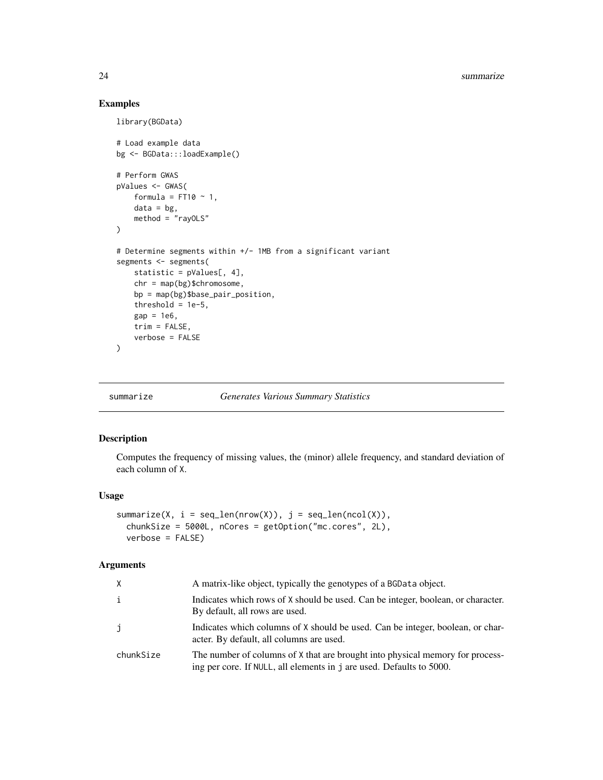# Examples

library(BGData)

```
# Load example data
bg <- BGData:::loadExample()
# Perform GWAS
pValues <- GWAS(
    formula = FT10 \sim 1,
    data = bg,
    method = "rayOLS"
\lambda# Determine segments within +/- 1MB from a significant variant
segments <- segments(
    statistic = pValues[, 4],
    chr = map(bg)$chromosome,
    bp = map(bg)$base_pair_position,
    threshold = 1e-5,
    gap = 1e6,
    trim = FALSE,
    verbose = FALSE
\mathcal{L}
```
summarize *Generates Various Summary Statistics*

# Description

Computes the frequency of missing values, the (minor) allele frequency, and standard deviation of each column of X.

#### Usage

```
summarize(X, i = seq\_len(nrow(X)), j = seq\_len(ncol(X)),
  chunkSize = 5000L, nCores = getOption("mc.cores", 2L),
  verbose = FALSE)
```
# Arguments

| Χ         | A matrix-like object, typically the genotypes of a BGData object.                                                                                     |
|-----------|-------------------------------------------------------------------------------------------------------------------------------------------------------|
| i         | Indicates which rows of X should be used. Can be integer, boolean, or character.<br>By default, all rows are used.                                    |
| j         | Indicates which columns of X should be used. Can be integer, boolean, or char-<br>acter. By default, all columns are used.                            |
| chunkSize | The number of columns of X that are brought into physical memory for process-<br>ing per core. If NULL, all elements in j are used. Defaults to 5000. |

<span id="page-23-0"></span>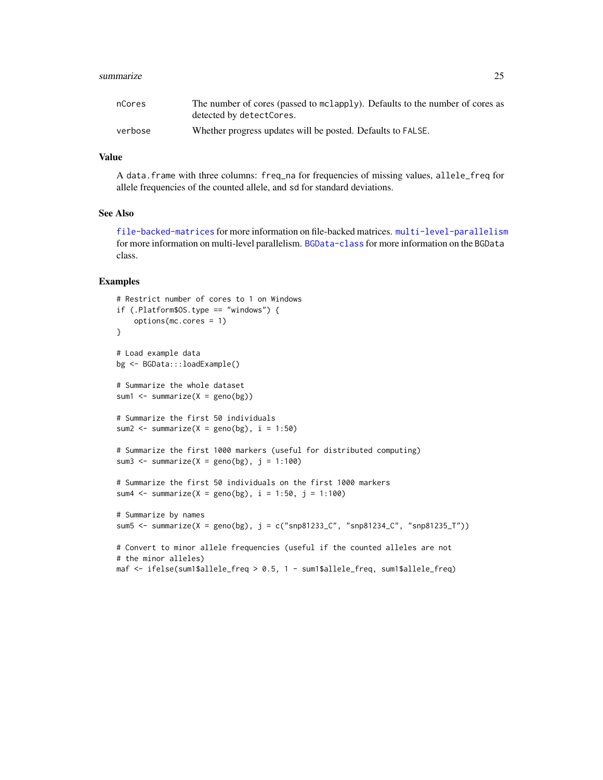#### summarize 25

| nCores  | The number of cores (passed to mclapply). Defaults to the number of cores as |
|---------|------------------------------------------------------------------------------|
|         | detected by detectCores.                                                     |
| verbose | Whether progress updates will be posted. Defaults to FALSE.                  |

# Value

A data.frame with three columns: freq\_na for frequencies of missing values, allele\_freq for allele frequencies of the counted allele, and sd for standard deviations.

#### See Also

[file-backed-matrices](#page-7-1) for more information on file-backed matrices. [multi-level-parallelism](#page-17-1) for more information on multi-level parallelism. [BGData-class](#page-4-1) for more information on the BGData class.

# Examples

```
# Restrict number of cores to 1 on Windows
if (.Platform$OS.type == "windows") {
    options(mc.cores = 1)
}
# Load example data
bg <- BGData:::loadExample()
# Summarize the whole dataset
sum1 \leq summarize(X = geno(bg))
# Summarize the first 50 individuals
sum2 \le summarize(X = geno(bg), i = 1:50)
# Summarize the first 1000 markers (useful for distributed computing)
sum3 \le summarize(X = geno(bg), j = 1:100)
# Summarize the first 50 individuals on the first 1000 markers
sum4 <- summarize(X = \text{geno}(bg), i = 1:50, j = 1:100)
# Summarize by names
sum5 <- summarize(X = geno(bg), j = c("snp81233_C", "snp81234_C", "snp81235_T"))
# Convert to minor allele frequencies (useful if the counted alleles are not
# the minor alleles)
maf <- ifelse(sum1$allele_freq > 0.5, 1 - sum1$allele_freq, sum1$allele_freq)
```